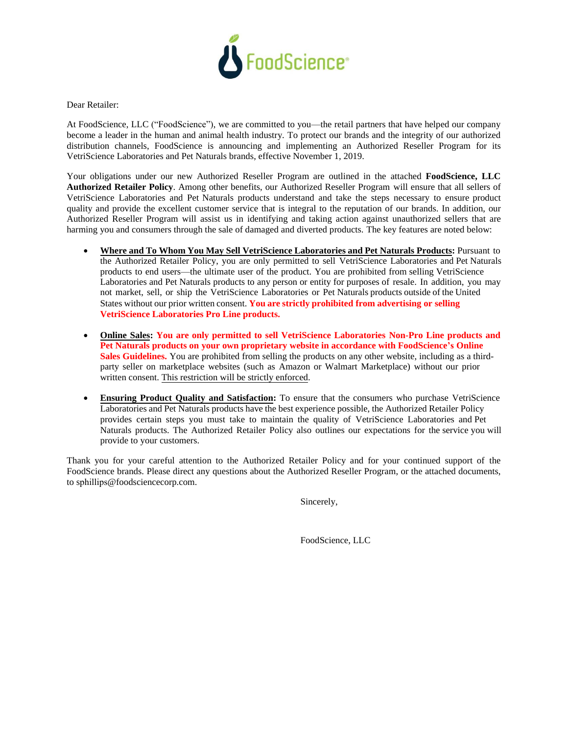

Dear Retailer:

At FoodScience, LLC ("FoodScience"), we are committed to you—the retail partners that have helped our company become a leader in the human and animal health industry. To protect our brands and the integrity of our authorized distribution channels, FoodScience is announcing and implementing an Authorized Reseller Program for its VetriScience Laboratories and Pet Naturals brands, effective November 1, 2019.

Your obligations under our new Authorized Reseller Program are outlined in the attached **FoodScience, LLC Authorized Retailer Policy**. Among other benefits, our Authorized Reseller Program will ensure that all sellers of VetriScience Laboratories and Pet Naturals products understand and take the steps necessary to ensure product quality and provide the excellent customer service that is integral to the reputation of our brands. In addition, our Authorized Reseller Program will assist us in identifying and taking action against unauthorized sellers that are harming you and consumers through the sale of damaged and diverted products. The key features are noted below:

- **Where and To Whom You May Sell VetriScience Laboratories and Pet Naturals Products:** Pursuant to the Authorized Retailer Policy, you are only permitted to sell VetriScience Laboratories and Pet Naturals products to end users—the ultimate user of the product. You are prohibited from selling VetriScience Laboratories and Pet Naturals products to any person or entity for purposes of resale. In addition, you may not market, sell, or ship the VetriScience Laboratories or Pet Naturals products outside of the United States without our prior written consent. **You are strictly prohibited from advertising or selling VetriScience Laboratories Pro Line products.**
- **Online Sales: You are only permitted to sell VetriScience Laboratories Non-Pro Line products and Pet Naturals products on your own proprietary website in accordance with FoodScience's Online Sales Guidelines.** You are prohibited from selling the products on any other website, including as a thirdparty seller on marketplace websites (such as Amazon or Walmart Marketplace) without our prior written consent. This restriction will be strictly enforced.
- **Ensuring Product Quality and Satisfaction:** To ensure that the consumers who purchase VetriScience Laboratories and Pet Naturals products have the best experience possible, the Authorized Retailer Policy provides certain steps you must take to maintain the quality of VetriScience Laboratories and Pet Naturals products. The Authorized Retailer Policy also outlines our expectations for the service you will provide to your customers.

Thank you for your careful attention to the Authorized Retailer Policy and for your continued support of the FoodScience brands. Please direct any questions about the Authorized Reseller Program, or the attached documents, to sphillips@foodsciencecorp.com.

Sincerely,

FoodScience, LLC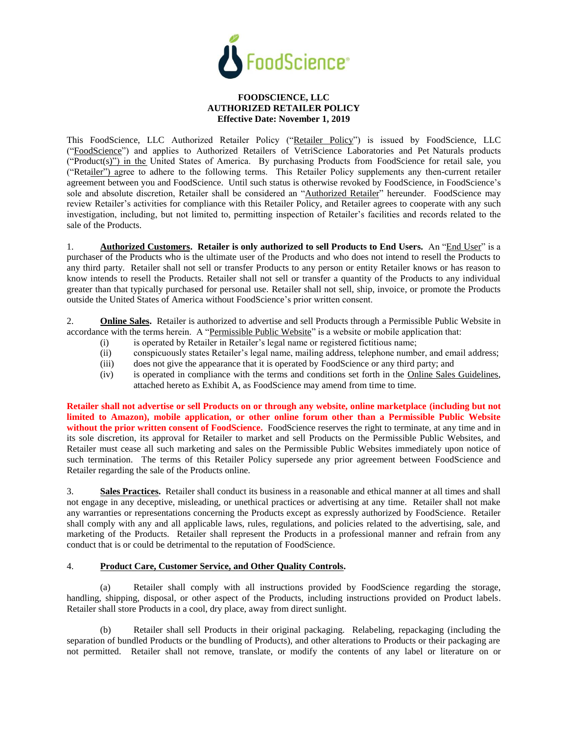

#### **FOODSCIENCE, LLC AUTHORIZED RETAILER POLICY Effective Date: November 1, 2019**

This FoodScience, LLC Authorized Retailer Policy ("Retailer Policy") is issued by FoodScience, LLC ("FoodScience") and applies to Authorized Retailers of VetriScience Laboratories and Pet Naturals products ("Product(s)") in the United States of America. By purchasing Products from FoodScience for retail sale, you ("Retailer") agree to adhere to the following terms. This Retailer Policy supplements any then-current retailer agreement between you and FoodScience. Until such status is otherwise revoked by FoodScience, in FoodScience's sole and absolute discretion, Retailer shall be considered an "Authorized Retailer" hereunder. FoodScience may review Retailer's activities for compliance with this Retailer Policy, and Retailer agrees to cooperate with any such investigation, including, but not limited to, permitting inspection of Retailer's facilities and records related to the sale of the Products.

1. **Authorized Customers. Retailer is only authorized to sell Products to End Users.** An "End User" is a purchaser of the Products who is the ultimate user of the Products and who does not intend to resell the Products to any third party. Retailer shall not sell or transfer Products to any person or entity Retailer knows or has reason to know intends to resell the Products. Retailer shall not sell or transfer a quantity of the Products to any individual greater than that typically purchased for personal use. Retailer shall not sell, ship, invoice, or promote the Products outside the United States of America without FoodScience's prior written consent.

2. **Online Sales.** Retailer is authorized to advertise and sell Products through a Permissible Public Website in accordance with the terms herein. A "Permissible Public Website" is a website or mobile application that:

- (i) is operated by Retailer in Retailer's legal name or registered fictitious name;
- (ii) conspicuously states Retailer's legal name, mailing address, telephone number, and email address;
- (iii) does not give the appearance that it is operated by FoodScience or any third party; and
- (iv) is operated in compliance with the terms and conditions set forth in the Online Sales Guidelines, attached hereto as Exhibit A, as FoodScience may amend from time to time.

**Retailer shall not advertise or sell Products on or through any website, online marketplace (including but not limited to Amazon), mobile application, or other online forum other than a Permissible Public Website without the prior written consent of FoodScience.** FoodScience reserves the right to terminate, at any time and in its sole discretion, its approval for Retailer to market and sell Products on the Permissible Public Websites, and Retailer must cease all such marketing and sales on the Permissible Public Websites immediately upon notice of such termination. The terms of this Retailer Policy supersede any prior agreement between FoodScience and Retailer regarding the sale of the Products online.

3. **Sales Practices.** Retailer shall conduct its business in a reasonable and ethical manner at all times and shall not engage in any deceptive, misleading, or unethical practices or advertising at any time. Retailer shall not make any warranties or representations concerning the Products except as expressly authorized by FoodScience. Retailer shall comply with any and all applicable laws, rules, regulations, and policies related to the advertising, sale, and marketing of the Products. Retailer shall represent the Products in a professional manner and refrain from any conduct that is or could be detrimental to the reputation of FoodScience.

### 4. **Product Care, Customer Service, and Other Quality Controls.**

(a) Retailer shall comply with all instructions provided by FoodScience regarding the storage, handling, shipping, disposal, or other aspect of the Products, including instructions provided on Product labels. Retailer shall store Products in a cool, dry place, away from direct sunlight.

(b) Retailer shall sell Products in their original packaging. Relabeling, repackaging (including the separation of bundled Products or the bundling of Products), and other alterations to Products or their packaging are not permitted. Retailer shall not remove, translate, or modify the contents of any label or literature on or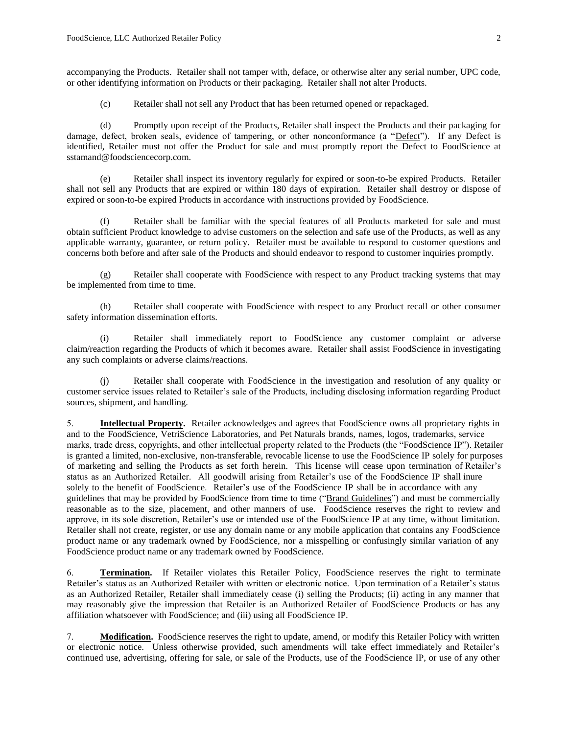accompanying the Products. Retailer shall not tamper with, deface, or otherwise alter any serial number, UPC code, or other identifying information on Products or their packaging. Retailer shall not alter Products.

(c) Retailer shall not sell any Product that has been returned opened or repackaged.

(d) Promptly upon receipt of the Products, Retailer shall inspect the Products and their packaging for damage, defect, broken seals, evidence of tampering, or other nonconformance (a "Defect"). If any Defect is identified, Retailer must not offer the Product for sale and must promptly report the Defect to FoodScience at sstamand@foodsciencecorp.com.

(e) Retailer shall inspect its inventory regularly for expired or soon-to-be expired Products. Retailer shall not sell any Products that are expired or within 180 days of expiration. Retailer shall destroy or dispose of expired or soon-to-be expired Products in accordance with instructions provided by FoodScience.

(f) Retailer shall be familiar with the special features of all Products marketed for sale and must obtain sufficient Product knowledge to advise customers on the selection and safe use of the Products, as well as any applicable warranty, guarantee, or return policy. Retailer must be available to respond to customer questions and concerns both before and after sale of the Products and should endeavor to respond to customer inquiries promptly.

(g) Retailer shall cooperate with FoodScience with respect to any Product tracking systems that may be implemented from time to time.

(h) Retailer shall cooperate with FoodScience with respect to any Product recall or other consumer safety information dissemination efforts.

(i) Retailer shall immediately report to FoodScience any customer complaint or adverse claim/reaction regarding the Products of which it becomes aware. Retailer shall assist FoodScience in investigating any such complaints or adverse claims/reactions.

(j) Retailer shall cooperate with FoodScience in the investigation and resolution of any quality or customer service issues related to Retailer's sale of the Products, including disclosing information regarding Product sources, shipment, and handling.

5. **Intellectual Property.** Retailer acknowledges and agrees that FoodScience owns all proprietary rights in and to the FoodScience, VetriScience Laboratories, and Pet Naturals brands, names, logos, trademarks, service marks, trade dress, copyrights, and other intellectual property related to the Products (the "FoodScience IP"). Retailer is granted a limited, non-exclusive, non-transferable, revocable license to use the FoodScience IP solely for purposes of marketing and selling the Products as set forth herein. This license will cease upon termination of Retailer's status as an Authorized Retailer. All goodwill arising from Retailer's use of the FoodScience IP shall inure solely to the benefit of FoodScience. Retailer's use of the FoodScience IP shall be in accordance with any guidelines that may be provided by FoodScience from time to time ("Brand Guidelines") and must be commercially reasonable as to the size, placement, and other manners of use. FoodScience reserves the right to review and approve, in its sole discretion, Retailer's use or intended use of the FoodScience IP at any time, without limitation. Retailer shall not create, register, or use any domain name or any mobile application that contains any FoodScience product name or any trademark owned by FoodScience, nor a misspelling or confusingly similar variation of any FoodScience product name or any trademark owned by FoodScience.

6. **Termination.** If Retailer violates this Retailer Policy, FoodScience reserves the right to terminate Retailer's status as an Authorized Retailer with written or electronic notice. Upon termination of a Retailer's status as an Authorized Retailer, Retailer shall immediately cease (i) selling the Products; (ii) acting in any manner that may reasonably give the impression that Retailer is an Authorized Retailer of FoodScience Products or has any affiliation whatsoever with FoodScience; and (iii) using all FoodScience IP.

7. **Modification.** FoodScience reserves the right to update, amend, or modify this Retailer Policy with written or electronic notice. Unless otherwise provided, such amendments will take effect immediately and Retailer's continued use, advertising, offering for sale, or sale of the Products, use of the FoodScience IP, or use of any other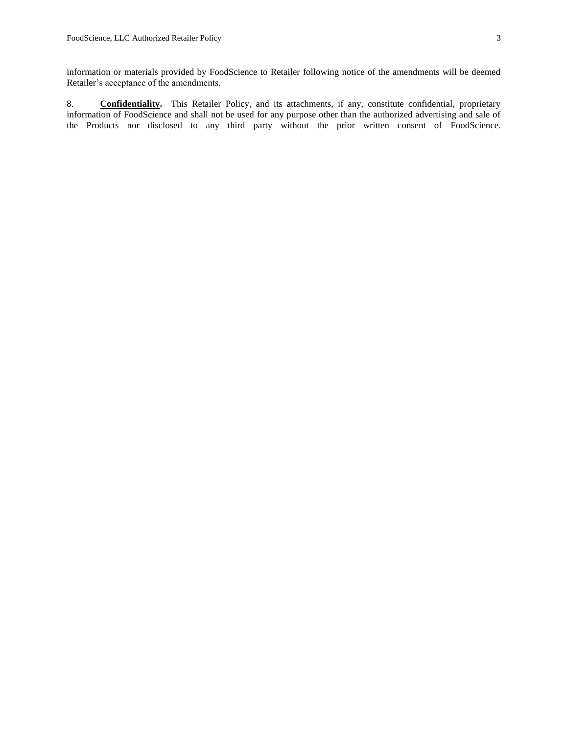information or materials provided by FoodScience to Retailer following notice of the amendments will be deemed Retailer's acceptance of the amendments.

8. **Confidentiality.** This Retailer Policy, and its attachments, if any, constitute confidential, proprietary information of FoodScience and shall not be used for any purpose other than the authorized advertising and sale of the Products nor disclosed to any third party without the prior written consent of FoodScience.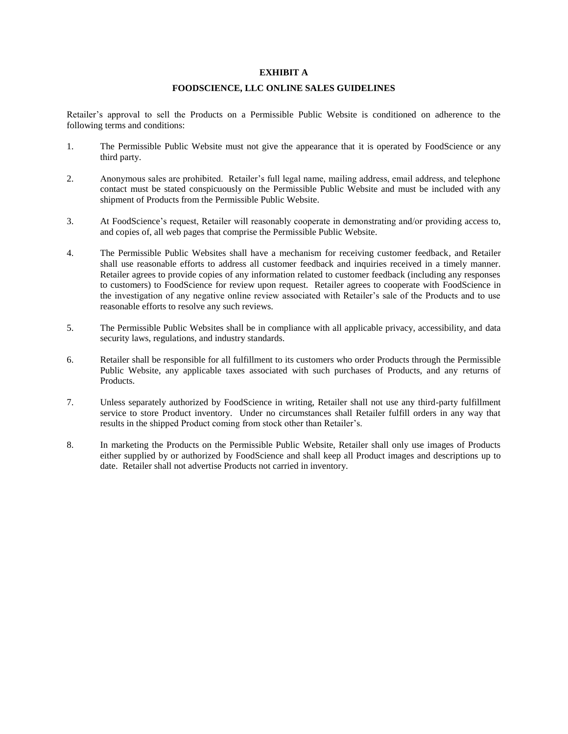#### **EXHIBIT A**

#### **FOODSCIENCE, LLC ONLINE SALES GUIDELINES**

Retailer's approval to sell the Products on a Permissible Public Website is conditioned on adherence to the following terms and conditions:

- 1. The Permissible Public Website must not give the appearance that it is operated by FoodScience or any third party.
- 2. Anonymous sales are prohibited. Retailer's full legal name, mailing address, email address, and telephone contact must be stated conspicuously on the Permissible Public Website and must be included with any shipment of Products from the Permissible Public Website.
- 3. At FoodScience's request, Retailer will reasonably cooperate in demonstrating and/or providing access to, and copies of, all web pages that comprise the Permissible Public Website.
- 4. The Permissible Public Websites shall have a mechanism for receiving customer feedback, and Retailer shall use reasonable efforts to address all customer feedback and inquiries received in a timely manner. Retailer agrees to provide copies of any information related to customer feedback (including any responses to customers) to FoodScience for review upon request. Retailer agrees to cooperate with FoodScience in the investigation of any negative online review associated with Retailer's sale of the Products and to use reasonable efforts to resolve any such reviews.
- 5. The Permissible Public Websites shall be in compliance with all applicable privacy, accessibility, and data security laws, regulations, and industry standards.
- 6. Retailer shall be responsible for all fulfillment to its customers who order Products through the Permissible Public Website, any applicable taxes associated with such purchases of Products, and any returns of Products.
- 7. Unless separately authorized by FoodScience in writing, Retailer shall not use any third-party fulfillment service to store Product inventory. Under no circumstances shall Retailer fulfill orders in any way that results in the shipped Product coming from stock other than Retailer's.
- 8. In marketing the Products on the Permissible Public Website, Retailer shall only use images of Products either supplied by or authorized by FoodScience and shall keep all Product images and descriptions up to date. Retailer shall not advertise Products not carried in inventory.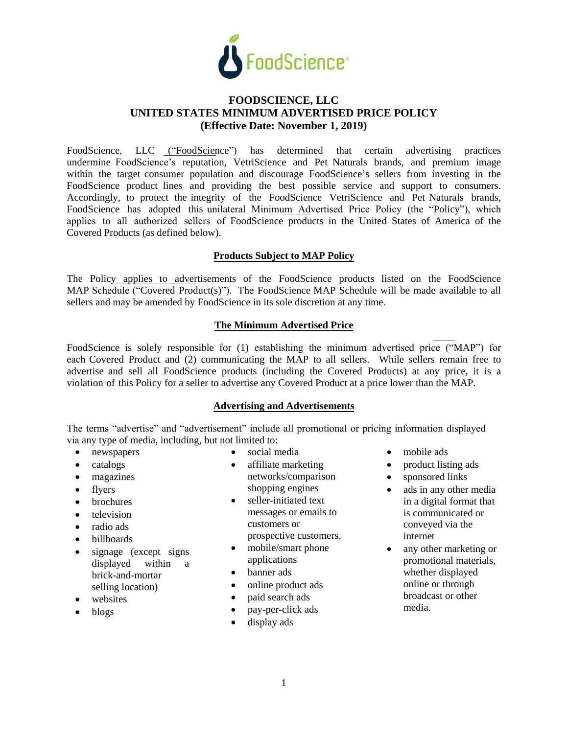

# **FOODSCIENCE, LLC UNITED STATES MINIMUM ADVERTISED PRICE POLICY (Effective Date: November 1, 2019)**

FoodScience, LLC ("FoodScience") has determined that certain advertising practices undermine FoodScience's reputation, VetriScience and Pet Naturals brands, and premium image within the target consumer population and discourage FoodScience's sellers from investing in the FoodScience product lines and providing the best possible service and support to consumers. Accordingly, to protect the integrity of the FoodScience VetriScience and Pet Naturals brands, FoodScience has adopted this unilateral Minimum Advertised Price Policy (the "Policy"), which applies to all authorized sellers of FoodScience products in the United States of America of the Covered Products (as defined below).

### **Products Subject to MAP Policy**

The Policy applies to advertisements of the FoodScience products listed on the FoodScience MAP Schedule ("Covered Product(s)"). The FoodScience MAP Schedule will be made available to all sellers and may be amended by FoodScience in its sole discretion at any time.

### **The Minimum Advertised Price**

FoodScience is solely responsible for (1) establishing the minimum advertised price ("MAP") for each Covered Product and (2) communicating the MAP to all sellers. While sellers remain free to advertise and sell all FoodScience products (including the Covered Products) at any price, it is a violation of this Policy for a seller to advertise any Covered Product at a price lower than the MAP.

### **Advertising and Advertisements**

The terms "advertise" and "advertisement" include all promotional or pricing information displayed via any type of media, including, but not limited to:

- newspapers
- catalogs
- magazines
- flyers
- brochures
- television
- radio ads
- billboards
- signage (except signs) displayed within a brick-and-mortar selling location)
- websites
- blogs
- social media
- affiliate marketing networks/comparison shopping engines
- seller-initiated text messages or emails to customers or prospective customers,
- mobile/smart phone applications
- banner ads
- online product ads
- paid search ads
- pay-per-click ads
- display ads
- mobile ads
- product listing ads
- sponsored links
- ads in any other media in a digital format that is communicated or conveyed via the internet
- any other marketing or promotional materials, whether displayed online or through broadcast or other media.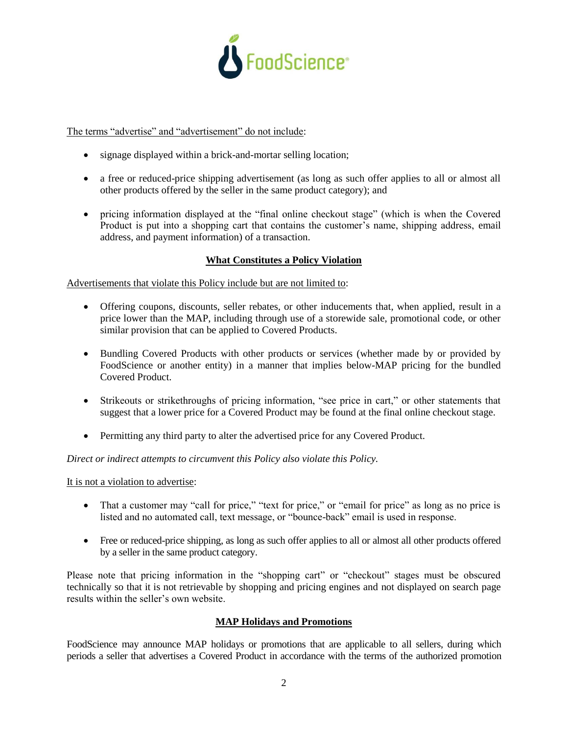

The terms "advertise" and "advertisement" do not include:

- signage displayed within a brick-and-mortar selling location;
- a free or reduced-price shipping advertisement (as long as such offer applies to all or almost all other products offered by the seller in the same product category); and
- pricing information displayed at the "final online checkout stage" (which is when the Covered Product is put into a shopping cart that contains the customer's name, shipping address, email address, and payment information) of a transaction.

## **What Constitutes a Policy Violation**

Advertisements that violate this Policy include but are not limited to:

- Offering coupons, discounts, seller rebates, or other inducements that, when applied, result in a price lower than the MAP, including through use of a storewide sale, promotional code, or other similar provision that can be applied to Covered Products.
- Bundling Covered Products with other products or services (whether made by or provided by FoodScience or another entity) in a manner that implies below-MAP pricing for the bundled Covered Product.
- Strikeouts or strikethroughs of pricing information, "see price in cart," or other statements that suggest that a lower price for a Covered Product may be found at the final online checkout stage.
- Permitting any third party to alter the advertised price for any Covered Product.

*Direct or indirect attempts to circumvent this Policy also violate this Policy.* 

It is not a violation to advertise:

- That a customer may "call for price," "text for price," or "email for price" as long as no price is listed and no automated call, text message, or "bounce-back" email is used in response.
- Free or reduced-price shipping, as long as such offer applies to all or almost all other products offered by a seller in the same product category.

Please note that pricing information in the "shopping cart" or "checkout" stages must be obscured technically so that it is not retrievable by shopping and pricing engines and not displayed on search page results within the seller's own website.

### **MAP Holidays and Promotions**

FoodScience may announce MAP holidays or promotions that are applicable to all sellers, during which periods a seller that advertises a Covered Product in accordance with the terms of the authorized promotion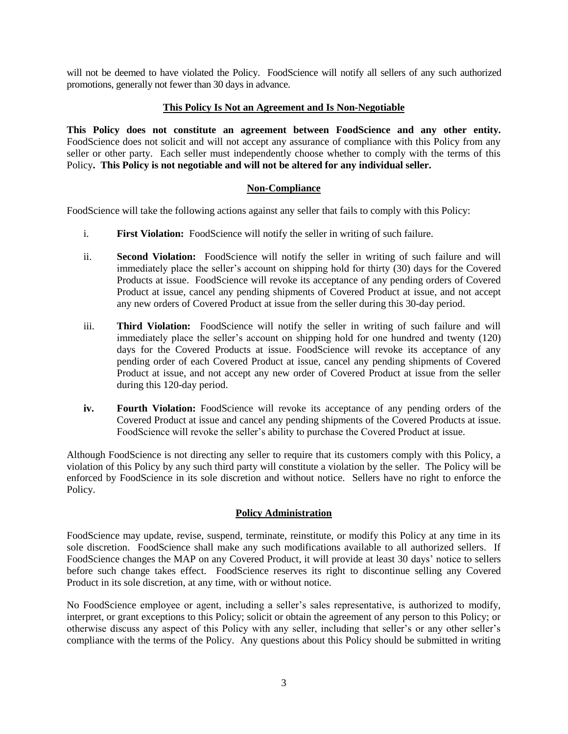will not be deemed to have violated the Policy. FoodScience will notify all sellers of any such authorized promotions, generally not fewer than 30 days in advance.

### **This Policy Is Not an Agreement and Is Non-Negotiable**

**This Policy does not constitute an agreement between FoodScience and any other entity.** FoodScience does not solicit and will not accept any assurance of compliance with this Policy from any seller or other party. Each seller must independently choose whether to comply with the terms of this Policy**. This Policy is not negotiable and will not be altered for any individual seller.**

# **Non-Compliance**

FoodScience will take the following actions against any seller that fails to comply with this Policy:

- i. **First Violation:** FoodScience will notify the seller in writing of such failure.
- ii. **Second Violation:** FoodScience will notify the seller in writing of such failure and will immediately place the seller's account on shipping hold for thirty (30) days for the Covered Products at issue. FoodScience will revoke its acceptance of any pending orders of Covered Product at issue, cancel any pending shipments of Covered Product at issue, and not accept any new orders of Covered Product at issue from the seller during this 30-day period.
- iii. **Third Violation:** FoodScience will notify the seller in writing of such failure and will immediately place the seller's account on shipping hold for one hundred and twenty (120) days for the Covered Products at issue. FoodScience will revoke its acceptance of any pending order of each Covered Product at issue, cancel any pending shipments of Covered Product at issue, and not accept any new order of Covered Product at issue from the seller during this 120-day period.
- **iv.** Fourth Violation: FoodScience will revoke its acceptance of any pending orders of the Covered Product at issue and cancel any pending shipments of the Covered Products at issue. FoodScience will revoke the seller's ability to purchase the Covered Product at issue.

Although FoodScience is not directing any seller to require that its customers comply with this Policy, a violation of this Policy by any such third party will constitute a violation by the seller. The Policy will be enforced by FoodScience in its sole discretion and without notice. Sellers have no right to enforce the Policy.

### **Policy Administration**

FoodScience may update, revise, suspend, terminate, reinstitute, or modify this Policy at any time in its sole discretion. FoodScience shall make any such modifications available to all authorized sellers. If FoodScience changes the MAP on any Covered Product, it will provide at least 30 days' notice to sellers before such change takes effect. FoodScience reserves its right to discontinue selling any Covered Product in its sole discretion, at any time, with or without notice.

No FoodScience employee or agent, including a seller's sales representative, is authorized to modify, interpret, or grant exceptions to this Policy; solicit or obtain the agreement of any person to this Policy; or otherwise discuss any aspect of this Policy with any seller, including that seller's or any other seller's compliance with the terms of the Policy. Any questions about this Policy should be submitted in writing